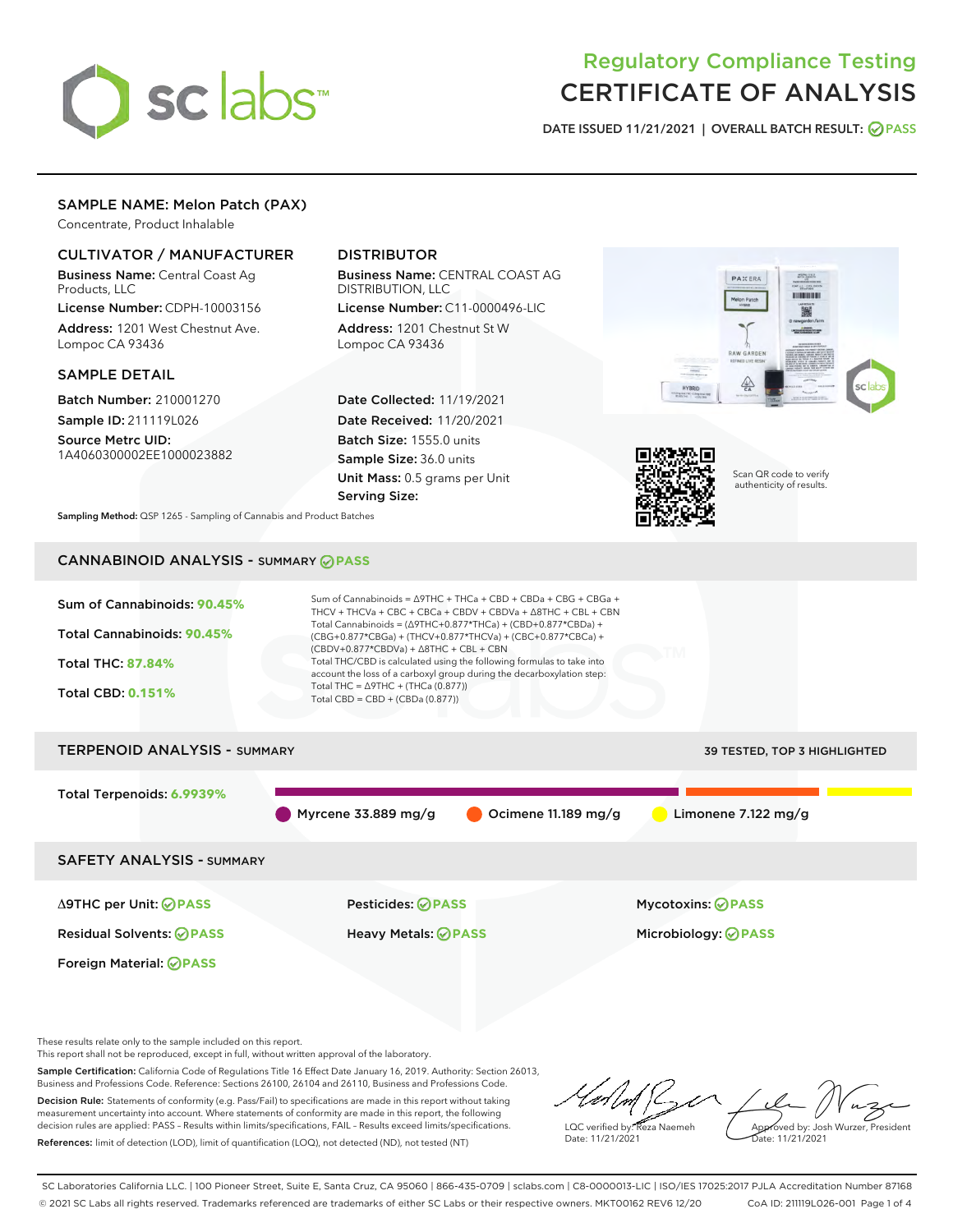

# Regulatory Compliance Testing CERTIFICATE OF ANALYSIS

DATE ISSUED 11/21/2021 | OVERALL BATCH RESULT: @ PASS

# SAMPLE NAME: Melon Patch (PAX)

Concentrate, Product Inhalable

# CULTIVATOR / MANUFACTURER

Business Name: Central Coast Ag Products, LLC

License Number: CDPH-10003156 Address: 1201 West Chestnut Ave. Lompoc CA 93436

## SAMPLE DETAIL

Batch Number: 210001270 Sample ID: 211119L026

Source Metrc UID: 1A4060300002EE1000023882

# DISTRIBUTOR

Business Name: CENTRAL COAST AG DISTRIBUTION, LLC License Number: C11-0000496-LIC

Address: 1201 Chestnut St W Lompoc CA 93436

Date Collected: 11/19/2021 Date Received: 11/20/2021 Batch Size: 1555.0 units Sample Size: 36.0 units Unit Mass: 0.5 grams per Unit Serving Size:





Scan QR code to verify authenticity of results.

Sampling Method: QSP 1265 - Sampling of Cannabis and Product Batches

# CANNABINOID ANALYSIS - SUMMARY **PASS**



These results relate only to the sample included on this report.

This report shall not be reproduced, except in full, without written approval of the laboratory.

Sample Certification: California Code of Regulations Title 16 Effect Date January 16, 2019. Authority: Section 26013, Business and Professions Code. Reference: Sections 26100, 26104 and 26110, Business and Professions Code. Decision Rule: Statements of conformity (e.g. Pass/Fail) to specifications are made in this report without taking

measurement uncertainty into account. Where statements of conformity are made in this report, the following decision rules are applied: PASS – Results within limits/specifications, FAIL – Results exceed limits/specifications. References: limit of detection (LOD), limit of quantification (LOQ), not detected (ND), not tested (NT)

LQC verified by: Reza Naemeh Date: 11/21/2021 Approved by: Josh Wurzer, President Date: 11/21/2021

SC Laboratories California LLC. | 100 Pioneer Street, Suite E, Santa Cruz, CA 95060 | 866-435-0709 | sclabs.com | C8-0000013-LIC | ISO/IES 17025:2017 PJLA Accreditation Number 87168 © 2021 SC Labs all rights reserved. Trademarks referenced are trademarks of either SC Labs or their respective owners. MKT00162 REV6 12/20 CoA ID: 211119L026-001 Page 1 of 4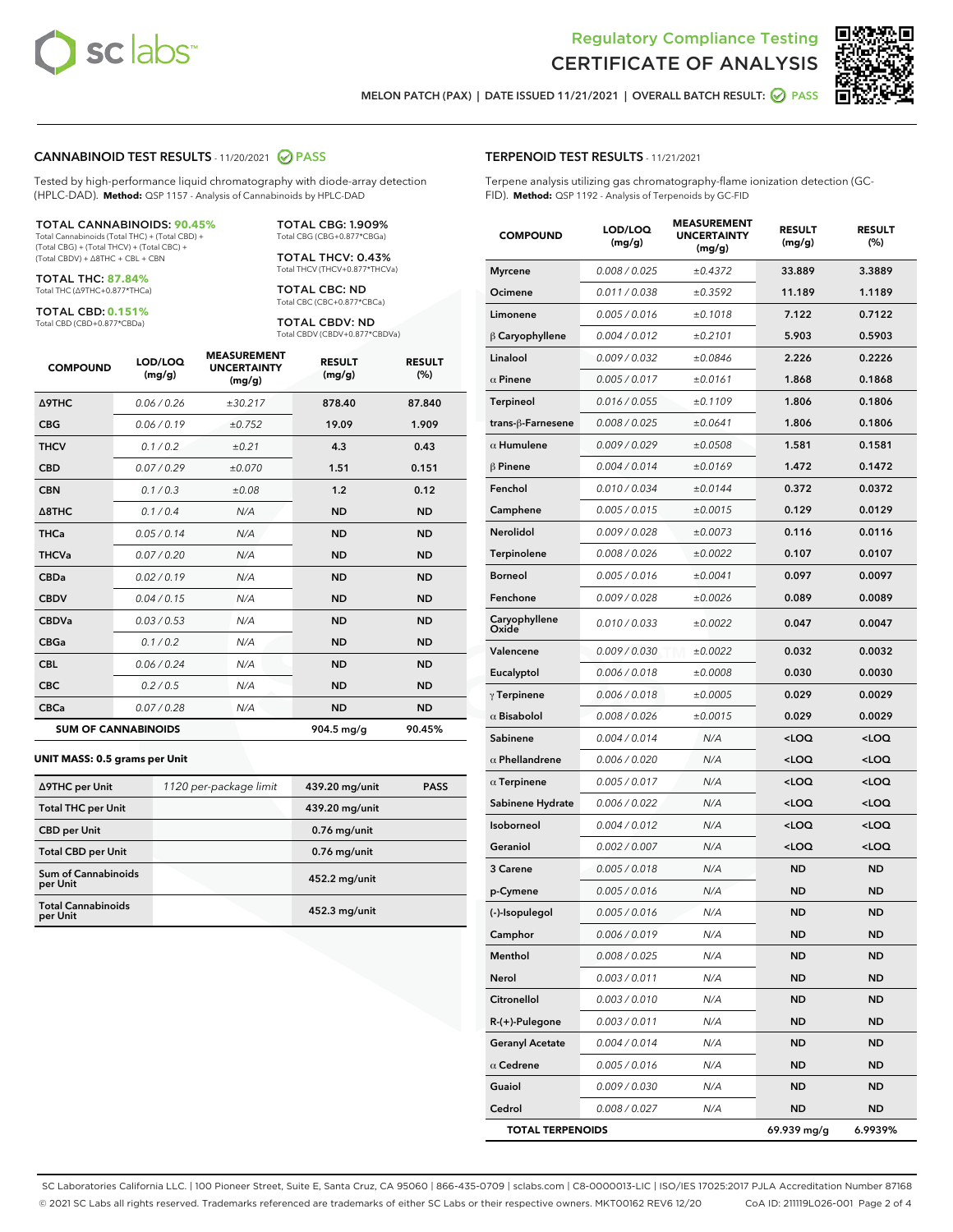

Terpene analysis utilizing gas chromatography-flame ionization detection (GC-



MELON PATCH (PAX) | DATE ISSUED 11/21/2021 | OVERALL BATCH RESULT: ☑ PASS

TERPENOID TEST RESULTS - 11/21/2021

FID). **Method:** QSP 1192 - Analysis of Terpenoids by GC-FID

# CANNABINOID TEST RESULTS - 11/20/2021 2 PASS

Tested by high-performance liquid chromatography with diode-array detection (HPLC-DAD). **Method:** QSP 1157 - Analysis of Cannabinoids by HPLC-DAD

#### TOTAL CANNABINOIDS: **90.45%**

Total Cannabinoids (Total THC) + (Total CBD) + (Total CBG) + (Total THCV) + (Total CBC) + (Total CBDV) + ∆8THC + CBL + CBN

TOTAL THC: **87.84%** Total THC (∆9THC+0.877\*THCa)

TOTAL CBD: **0.151%**

Total CBD (CBD+0.877\*CBDa)

TOTAL CBG: 1.909% Total CBG (CBG+0.877\*CBGa)

TOTAL THCV: 0.43% Total THCV (THCV+0.877\*THCVa)

TOTAL CBC: ND Total CBC (CBC+0.877\*CBCa)

TOTAL CBDV: ND Total CBDV (CBDV+0.877\*CBDVa)

| <b>COMPOUND</b>            | LOD/LOQ<br>(mg/g) | <b>MEASUREMENT</b><br><b>UNCERTAINTY</b><br>(mg/g) | <b>RESULT</b><br>(mg/g) | <b>RESULT</b><br>(%) |
|----------------------------|-------------------|----------------------------------------------------|-------------------------|----------------------|
| <b>A9THC</b>               | 0.06 / 0.26       | ±30.217                                            | 878.40                  | 87.840               |
| <b>CBG</b>                 | 0.06 / 0.19       | ±0.752                                             | 19.09                   | 1.909                |
| <b>THCV</b>                | 0.1 / 0.2         | ±0.21                                              | 4.3                     | 0.43                 |
| <b>CBD</b>                 | 0.07/0.29         | ±0.070                                             | 1.51                    | 0.151                |
| <b>CBN</b>                 | 0.1 / 0.3         | ±0.08                                              | 1.2                     | 0.12                 |
| $\triangle$ 8THC           | 0.1 / 0.4         | N/A                                                | <b>ND</b>               | <b>ND</b>            |
| <b>THCa</b>                | 0.05/0.14         | N/A                                                | <b>ND</b>               | <b>ND</b>            |
| <b>THCVa</b>               | 0.07/0.20         | N/A                                                | <b>ND</b>               | <b>ND</b>            |
| <b>CBDa</b>                | 0.02/0.19         | N/A                                                | <b>ND</b>               | <b>ND</b>            |
| <b>CBDV</b>                | 0.04 / 0.15       | N/A                                                | <b>ND</b>               | <b>ND</b>            |
| <b>CBDVa</b>               | 0.03/0.53         | N/A                                                | <b>ND</b>               | <b>ND</b>            |
| <b>CBGa</b>                | 0.1 / 0.2         | N/A                                                | <b>ND</b>               | <b>ND</b>            |
| <b>CBL</b>                 | 0.06 / 0.24       | N/A                                                | <b>ND</b>               | <b>ND</b>            |
| <b>CBC</b>                 | 0.2 / 0.5         | N/A                                                | <b>ND</b>               | <b>ND</b>            |
| <b>CBCa</b>                | 0.07/0.28         | N/A                                                | <b>ND</b>               | <b>ND</b>            |
| <b>SUM OF CANNABINOIDS</b> |                   |                                                    | 904.5 mg/g              | 90.45%               |

#### **UNIT MASS: 0.5 grams per Unit**

| ∆9THC per Unit                         | 1120 per-package limit | 439.20 mg/unit  | <b>PASS</b> |
|----------------------------------------|------------------------|-----------------|-------------|
| <b>Total THC per Unit</b>              |                        | 439.20 mg/unit  |             |
| <b>CBD</b> per Unit                    |                        | $0.76$ mg/unit  |             |
| <b>Total CBD per Unit</b>              |                        | $0.76$ mg/unit  |             |
| <b>Sum of Cannabinoids</b><br>per Unit |                        | 452.2 mg/unit   |             |
| <b>Total Cannabinoids</b><br>per Unit  |                        | $452.3$ mg/unit |             |

| <b>COMPOUND</b>         | LOD/LOQ<br>(mg/g) | <b>MEASUREMENT</b><br>UNCERTAINTY<br>(mg/g) | <b>RESULT</b><br>(mg/g)                         | <b>RESULT</b><br>(%) |
|-------------------------|-------------------|---------------------------------------------|-------------------------------------------------|----------------------|
| <b>Myrcene</b>          | 0.008 / 0.025     | ±0.4372                                     | 33.889                                          | 3.3889               |
| Ocimene                 | 0.011 / 0.038     | ±0.3592                                     | 11.189                                          | 1.1189               |
| Limonene                | 0.005 / 0.016     | ±0.1018                                     | 7.122                                           | 0.7122               |
| β Caryophyllene         | 0.004 / 0.012     | ±0.2101                                     | 5.903                                           | 0.5903               |
| Linalool                | 0.009 / 0.032     | ±0.0846                                     | 2.226                                           | 0.2226               |
| $\alpha$ Pinene         | 0.005 / 0.017     | ±0.0161                                     | 1.868                                           | 0.1868               |
| Terpineol               | 0.016 / 0.055     | ±0.1109                                     | 1.806                                           | 0.1806               |
| trans-β-Farnesene       | 0.008 / 0.025     | ±0.0641                                     | 1.806                                           | 0.1806               |
| $\alpha$ Humulene       | 0.009/0.029       | ±0.0508                                     | 1.581                                           | 0.1581               |
| <b>β Pinene</b>         | 0.004 / 0.014     | ±0.0169                                     | 1.472                                           | 0.1472               |
| Fenchol                 | 0.010 / 0.034     | ±0.0144                                     | 0.372                                           | 0.0372               |
| Camphene                | 0.005 / 0.015     | ±0.0015                                     | 0.129                                           | 0.0129               |
| Nerolidol               | 0.009 / 0.028     | ±0.0073                                     | 0.116                                           | 0.0116               |
| Terpinolene             | 0.008 / 0.026     | ±0.0022                                     | 0.107                                           | 0.0107               |
| <b>Borneol</b>          | 0.005 / 0.016     | ±0.0041                                     | 0.097                                           | 0.0097               |
| Fenchone                | 0.009 / 0.028     | ±0.0026                                     | 0.089                                           | 0.0089               |
| Caryophyllene<br>Oxide  | 0.010 / 0.033     | ±0.0022                                     | 0.047                                           | 0.0047               |
| Valencene               | 0.009 / 0.030     | ±0.0022                                     | 0.032                                           | 0.0032               |
| Eucalyptol              | 0.006 / 0.018     | ±0.0008                                     | 0.030                                           | 0.0030               |
| $\gamma$ Terpinene      | 0.006 / 0.018     | ±0.0005                                     | 0.029                                           | 0.0029               |
| $\alpha$ Bisabolol      | 0.008 / 0.026     | ±0.0015                                     | 0.029                                           | 0.0029               |
| Sabinene                | 0.004 / 0.014     | N/A                                         | <loq< td=""><td><loq< td=""></loq<></td></loq<> | <loq< td=""></loq<>  |
| $\alpha$ Phellandrene   | 0.006 / 0.020     | N/A                                         | <loq< td=""><td><loq< td=""></loq<></td></loq<> | <loq< td=""></loq<>  |
| $\alpha$ Terpinene      | 0.005 / 0.017     | N/A                                         | <loq< td=""><td><loq< td=""></loq<></td></loq<> | <loq< td=""></loq<>  |
| Sabinene Hydrate        | 0.006 / 0.022     | N/A                                         | <loq< td=""><td><loq< td=""></loq<></td></loq<> | <loq< td=""></loq<>  |
| Isoborneol              | 0.004 / 0.012     | N/A                                         | <loq< td=""><td><loq< td=""></loq<></td></loq<> | <loq< td=""></loq<>  |
| Geraniol                | 0.002 / 0.007     | N/A                                         | <loq< td=""><td><loq< td=""></loq<></td></loq<> | <loq< td=""></loq<>  |
| 3 Carene                | 0.005 / 0.018     | N/A                                         | <b>ND</b>                                       | <b>ND</b>            |
| p-Cymene                | 0.005 / 0.016     | N/A                                         | <b>ND</b>                                       | <b>ND</b>            |
| (-)-Isopulegol          | 0.005 / 0.016     | N/A                                         | ND                                              | ND                   |
| Camphor                 | 0.006 / 0.019     | N/A                                         | ND                                              | ND                   |
| Menthol                 | 0.008 / 0.025     | N/A                                         | ND                                              | ND                   |
| Nerol                   | 0.003 / 0.011     | N/A                                         | ND                                              | ND                   |
| Citronellol             | 0.003 / 0.010     | N/A                                         | ND                                              | ND                   |
| R-(+)-Pulegone          | 0.003 / 0.011     | N/A                                         | ND                                              | ND                   |
| <b>Geranyl Acetate</b>  | 0.004 / 0.014     | N/A                                         | ND                                              | ND                   |
| $\alpha$ Cedrene        | 0.005 / 0.016     | N/A                                         | ND                                              | ND                   |
| Guaiol                  | 0.009 / 0.030     | N/A                                         | ND                                              | <b>ND</b>            |
| Cedrol                  | 0.008 / 0.027     | N/A                                         | ND                                              | ND                   |
| <b>TOTAL TERPENOIDS</b> |                   |                                             | 69.939 mg/g                                     | 6.9939%              |

SC Laboratories California LLC. | 100 Pioneer Street, Suite E, Santa Cruz, CA 95060 | 866-435-0709 | sclabs.com | C8-0000013-LIC | ISO/IES 17025:2017 PJLA Accreditation Number 87168 © 2021 SC Labs all rights reserved. Trademarks referenced are trademarks of either SC Labs or their respective owners. MKT00162 REV6 12/20 CoA ID: 211119L026-001 Page 2 of 4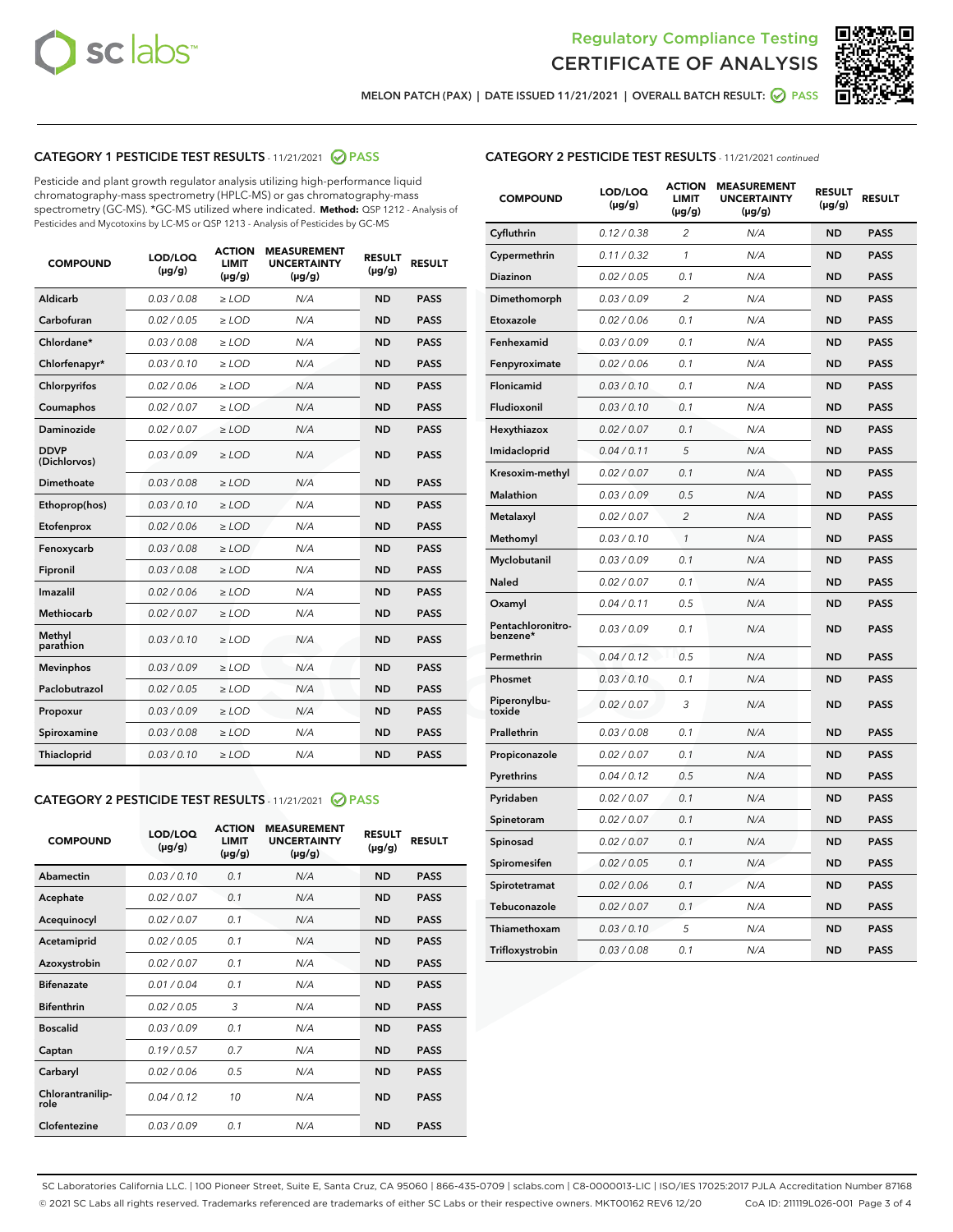



MELON PATCH (PAX) | DATE ISSUED 11/21/2021 | OVERALL BATCH RESULT:  $\bigotimes$  PASS

# CATEGORY 1 PESTICIDE TEST RESULTS - 11/21/2021 2 PASS

Pesticide and plant growth regulator analysis utilizing high-performance liquid chromatography-mass spectrometry (HPLC-MS) or gas chromatography-mass spectrometry (GC-MS). \*GC-MS utilized where indicated. **Method:** QSP 1212 - Analysis of Pesticides and Mycotoxins by LC-MS or QSP 1213 - Analysis of Pesticides by GC-MS

| <b>Aldicarb</b><br>0.03 / 0.08<br><b>ND</b><br>$\ge$ LOD<br>N/A<br><b>PASS</b><br>Carbofuran<br>0.02/0.05<br>$\ge$ LOD<br>N/A<br><b>ND</b><br><b>PASS</b><br>Chlordane*<br>0.03 / 0.08<br><b>ND</b><br>$>$ LOD<br>N/A<br><b>PASS</b><br>0.03/0.10<br><b>ND</b><br><b>PASS</b><br>Chlorfenapyr*<br>$\ge$ LOD<br>N/A<br>0.02 / 0.06<br>N/A<br><b>ND</b><br><b>PASS</b><br>Chlorpyrifos<br>$\ge$ LOD<br>0.02 / 0.07<br>N/A<br><b>ND</b><br><b>PASS</b><br>Coumaphos<br>$>$ LOD<br>Daminozide<br>0.02 / 0.07<br>$\ge$ LOD<br>N/A<br><b>ND</b><br><b>PASS</b><br><b>DDVP</b><br>0.03/0.09<br>$\ge$ LOD<br>N/A<br><b>ND</b><br><b>PASS</b><br>(Dichlorvos)<br>Dimethoate<br><b>ND</b><br><b>PASS</b><br>0.03 / 0.08<br>$>$ LOD<br>N/A<br>0.03/0.10<br>Ethoprop(hos)<br>$\ge$ LOD<br>N/A<br><b>ND</b><br><b>PASS</b><br>0.02 / 0.06<br>$\ge$ LOD<br>N/A<br><b>ND</b><br><b>PASS</b><br>Etofenprox<br>Fenoxycarb<br>0.03 / 0.08<br>$>$ LOD<br>N/A<br><b>ND</b><br><b>PASS</b><br>0.03 / 0.08<br><b>ND</b><br><b>PASS</b><br>Fipronil<br>$\ge$ LOD<br>N/A<br>Imazalil<br>0.02 / 0.06<br>$>$ LOD<br>N/A<br><b>ND</b><br><b>PASS</b><br>0.02 / 0.07<br>Methiocarb<br>N/A<br><b>ND</b><br>$>$ LOD<br><b>PASS</b><br>Methyl<br>0.03/0.10<br>$\ge$ LOD<br>N/A<br><b>ND</b><br><b>PASS</b><br>parathion<br>0.03/0.09<br>$\ge$ LOD<br>N/A<br><b>ND</b><br><b>PASS</b><br><b>Mevinphos</b><br>Paclobutrazol<br>0.02 / 0.05<br>$\ge$ LOD<br>N/A<br><b>ND</b><br><b>PASS</b><br>0.03/0.09<br>N/A<br>$\ge$ LOD<br><b>ND</b><br><b>PASS</b><br>Propoxur<br>0.03 / 0.08<br><b>ND</b><br><b>PASS</b><br>Spiroxamine<br>$\ge$ LOD<br>N/A<br><b>PASS</b><br>Thiacloprid<br>0.03/0.10<br>$\ge$ LOD<br>N/A<br><b>ND</b> | <b>COMPOUND</b> | LOD/LOQ<br>$(\mu g/g)$ | <b>ACTION</b><br>LIMIT<br>$(\mu g/g)$ | <b>MEASUREMENT</b><br><b>UNCERTAINTY</b><br>$(\mu g/g)$ | <b>RESULT</b><br>$(\mu g/g)$ | <b>RESULT</b> |
|----------------------------------------------------------------------------------------------------------------------------------------------------------------------------------------------------------------------------------------------------------------------------------------------------------------------------------------------------------------------------------------------------------------------------------------------------------------------------------------------------------------------------------------------------------------------------------------------------------------------------------------------------------------------------------------------------------------------------------------------------------------------------------------------------------------------------------------------------------------------------------------------------------------------------------------------------------------------------------------------------------------------------------------------------------------------------------------------------------------------------------------------------------------------------------------------------------------------------------------------------------------------------------------------------------------------------------------------------------------------------------------------------------------------------------------------------------------------------------------------------------------------------------------------------------------------------------------------------------------------------------------------------------------------------------------------|-----------------|------------------------|---------------------------------------|---------------------------------------------------------|------------------------------|---------------|
|                                                                                                                                                                                                                                                                                                                                                                                                                                                                                                                                                                                                                                                                                                                                                                                                                                                                                                                                                                                                                                                                                                                                                                                                                                                                                                                                                                                                                                                                                                                                                                                                                                                                                              |                 |                        |                                       |                                                         |                              |               |
|                                                                                                                                                                                                                                                                                                                                                                                                                                                                                                                                                                                                                                                                                                                                                                                                                                                                                                                                                                                                                                                                                                                                                                                                                                                                                                                                                                                                                                                                                                                                                                                                                                                                                              |                 |                        |                                       |                                                         |                              |               |
|                                                                                                                                                                                                                                                                                                                                                                                                                                                                                                                                                                                                                                                                                                                                                                                                                                                                                                                                                                                                                                                                                                                                                                                                                                                                                                                                                                                                                                                                                                                                                                                                                                                                                              |                 |                        |                                       |                                                         |                              |               |
|                                                                                                                                                                                                                                                                                                                                                                                                                                                                                                                                                                                                                                                                                                                                                                                                                                                                                                                                                                                                                                                                                                                                                                                                                                                                                                                                                                                                                                                                                                                                                                                                                                                                                              |                 |                        |                                       |                                                         |                              |               |
|                                                                                                                                                                                                                                                                                                                                                                                                                                                                                                                                                                                                                                                                                                                                                                                                                                                                                                                                                                                                                                                                                                                                                                                                                                                                                                                                                                                                                                                                                                                                                                                                                                                                                              |                 |                        |                                       |                                                         |                              |               |
|                                                                                                                                                                                                                                                                                                                                                                                                                                                                                                                                                                                                                                                                                                                                                                                                                                                                                                                                                                                                                                                                                                                                                                                                                                                                                                                                                                                                                                                                                                                                                                                                                                                                                              |                 |                        |                                       |                                                         |                              |               |
|                                                                                                                                                                                                                                                                                                                                                                                                                                                                                                                                                                                                                                                                                                                                                                                                                                                                                                                                                                                                                                                                                                                                                                                                                                                                                                                                                                                                                                                                                                                                                                                                                                                                                              |                 |                        |                                       |                                                         |                              |               |
|                                                                                                                                                                                                                                                                                                                                                                                                                                                                                                                                                                                                                                                                                                                                                                                                                                                                                                                                                                                                                                                                                                                                                                                                                                                                                                                                                                                                                                                                                                                                                                                                                                                                                              |                 |                        |                                       |                                                         |                              |               |
|                                                                                                                                                                                                                                                                                                                                                                                                                                                                                                                                                                                                                                                                                                                                                                                                                                                                                                                                                                                                                                                                                                                                                                                                                                                                                                                                                                                                                                                                                                                                                                                                                                                                                              |                 |                        |                                       |                                                         |                              |               |
|                                                                                                                                                                                                                                                                                                                                                                                                                                                                                                                                                                                                                                                                                                                                                                                                                                                                                                                                                                                                                                                                                                                                                                                                                                                                                                                                                                                                                                                                                                                                                                                                                                                                                              |                 |                        |                                       |                                                         |                              |               |
|                                                                                                                                                                                                                                                                                                                                                                                                                                                                                                                                                                                                                                                                                                                                                                                                                                                                                                                                                                                                                                                                                                                                                                                                                                                                                                                                                                                                                                                                                                                                                                                                                                                                                              |                 |                        |                                       |                                                         |                              |               |
|                                                                                                                                                                                                                                                                                                                                                                                                                                                                                                                                                                                                                                                                                                                                                                                                                                                                                                                                                                                                                                                                                                                                                                                                                                                                                                                                                                                                                                                                                                                                                                                                                                                                                              |                 |                        |                                       |                                                         |                              |               |
|                                                                                                                                                                                                                                                                                                                                                                                                                                                                                                                                                                                                                                                                                                                                                                                                                                                                                                                                                                                                                                                                                                                                                                                                                                                                                                                                                                                                                                                                                                                                                                                                                                                                                              |                 |                        |                                       |                                                         |                              |               |
|                                                                                                                                                                                                                                                                                                                                                                                                                                                                                                                                                                                                                                                                                                                                                                                                                                                                                                                                                                                                                                                                                                                                                                                                                                                                                                                                                                                                                                                                                                                                                                                                                                                                                              |                 |                        |                                       |                                                         |                              |               |
|                                                                                                                                                                                                                                                                                                                                                                                                                                                                                                                                                                                                                                                                                                                                                                                                                                                                                                                                                                                                                                                                                                                                                                                                                                                                                                                                                                                                                                                                                                                                                                                                                                                                                              |                 |                        |                                       |                                                         |                              |               |
|                                                                                                                                                                                                                                                                                                                                                                                                                                                                                                                                                                                                                                                                                                                                                                                                                                                                                                                                                                                                                                                                                                                                                                                                                                                                                                                                                                                                                                                                                                                                                                                                                                                                                              |                 |                        |                                       |                                                         |                              |               |
|                                                                                                                                                                                                                                                                                                                                                                                                                                                                                                                                                                                                                                                                                                                                                                                                                                                                                                                                                                                                                                                                                                                                                                                                                                                                                                                                                                                                                                                                                                                                                                                                                                                                                              |                 |                        |                                       |                                                         |                              |               |
|                                                                                                                                                                                                                                                                                                                                                                                                                                                                                                                                                                                                                                                                                                                                                                                                                                                                                                                                                                                                                                                                                                                                                                                                                                                                                                                                                                                                                                                                                                                                                                                                                                                                                              |                 |                        |                                       |                                                         |                              |               |
|                                                                                                                                                                                                                                                                                                                                                                                                                                                                                                                                                                                                                                                                                                                                                                                                                                                                                                                                                                                                                                                                                                                                                                                                                                                                                                                                                                                                                                                                                                                                                                                                                                                                                              |                 |                        |                                       |                                                         |                              |               |
|                                                                                                                                                                                                                                                                                                                                                                                                                                                                                                                                                                                                                                                                                                                                                                                                                                                                                                                                                                                                                                                                                                                                                                                                                                                                                                                                                                                                                                                                                                                                                                                                                                                                                              |                 |                        |                                       |                                                         |                              |               |
|                                                                                                                                                                                                                                                                                                                                                                                                                                                                                                                                                                                                                                                                                                                                                                                                                                                                                                                                                                                                                                                                                                                                                                                                                                                                                                                                                                                                                                                                                                                                                                                                                                                                                              |                 |                        |                                       |                                                         |                              |               |

## CATEGORY 2 PESTICIDE TEST RESULTS - 11/21/2021 @ PASS

| <b>COMPOUND</b>          | LOD/LOO<br>$(\mu g/g)$ | <b>ACTION</b><br>LIMIT<br>$(\mu g/g)$ | <b>MEASUREMENT</b><br><b>UNCERTAINTY</b><br>$(\mu g/g)$ | <b>RESULT</b><br>$(\mu g/g)$ | <b>RESULT</b> |  |
|--------------------------|------------------------|---------------------------------------|---------------------------------------------------------|------------------------------|---------------|--|
| Abamectin                | 0.03/0.10              | 0.1                                   | N/A                                                     | <b>ND</b>                    | <b>PASS</b>   |  |
| Acephate                 | 0.02/0.07              | 0.1                                   | N/A                                                     | <b>ND</b>                    | <b>PASS</b>   |  |
| Acequinocyl              | 0.02/0.07              | 0.1                                   | N/A                                                     | <b>ND</b>                    | <b>PASS</b>   |  |
| Acetamiprid              | 0.02 / 0.05            | 0.1                                   | N/A                                                     | <b>ND</b>                    | <b>PASS</b>   |  |
| Azoxystrobin             | 0.02/0.07              | 0.1                                   | N/A                                                     | <b>ND</b>                    | <b>PASS</b>   |  |
| <b>Bifenazate</b>        | 0.01 / 0.04            | 0.1                                   | N/A                                                     | <b>ND</b>                    | <b>PASS</b>   |  |
| <b>Bifenthrin</b>        | 0.02 / 0.05            | 3                                     | N/A                                                     | <b>ND</b>                    | <b>PASS</b>   |  |
| <b>Boscalid</b>          | 0.03/0.09              | 0.1                                   | N/A                                                     | <b>ND</b>                    | <b>PASS</b>   |  |
| Captan                   | 0.19/0.57              | 0.7                                   | N/A                                                     | <b>ND</b>                    | <b>PASS</b>   |  |
| Carbaryl                 | 0.02/0.06              | 0.5                                   | N/A                                                     | <b>ND</b>                    | <b>PASS</b>   |  |
| Chlorantranilip-<br>role | 0.04/0.12              | 10                                    | N/A                                                     | <b>ND</b>                    | <b>PASS</b>   |  |
| Clofentezine             | 0.03/0.09              | 0.1                                   | N/A                                                     | <b>ND</b>                    | <b>PASS</b>   |  |

| <b>CATEGORY 2 PESTICIDE TEST RESULTS</b> - 11/21/2021 continued |
|-----------------------------------------------------------------|
|                                                                 |

| <b>COMPOUND</b>               | LOD/LOQ<br>(µg/g) | <b>ACTION</b><br><b>LIMIT</b><br>$(\mu g/g)$ | <b>MEASUREMENT</b><br><b>UNCERTAINTY</b><br>$(\mu g/g)$ | <b>RESULT</b><br>(µg/g) | <b>RESULT</b> |
|-------------------------------|-------------------|----------------------------------------------|---------------------------------------------------------|-------------------------|---------------|
| Cyfluthrin                    | 0.12 / 0.38       | $\overline{c}$                               | N/A                                                     | ND                      | <b>PASS</b>   |
| Cypermethrin                  | 0.11 / 0.32       | $\mathcal{I}$                                | N/A                                                     | ND                      | <b>PASS</b>   |
| <b>Diazinon</b>               | 0.02 / 0.05       | 0.1                                          | N/A                                                     | <b>ND</b>               | <b>PASS</b>   |
| Dimethomorph                  | 0.03 / 0.09       | 2                                            | N/A                                                     | ND                      | <b>PASS</b>   |
| Etoxazole                     | 0.02 / 0.06       | 0.1                                          | N/A                                                     | ND                      | <b>PASS</b>   |
| Fenhexamid                    | 0.03 / 0.09       | 0.1                                          | N/A                                                     | ND                      | <b>PASS</b>   |
| Fenpyroximate                 | 0.02 / 0.06       | 0.1                                          | N/A                                                     | <b>ND</b>               | <b>PASS</b>   |
| Flonicamid                    | 0.03 / 0.10       | 0.1                                          | N/A                                                     | ND                      | <b>PASS</b>   |
| Fludioxonil                   | 0.03 / 0.10       | 0.1                                          | N/A                                                     | ND                      | <b>PASS</b>   |
| Hexythiazox                   | 0.02 / 0.07       | 0.1                                          | N/A                                                     | ND                      | <b>PASS</b>   |
| Imidacloprid                  | 0.04 / 0.11       | 5                                            | N/A                                                     | ND                      | <b>PASS</b>   |
| Kresoxim-methyl               | 0.02 / 0.07       | 0.1                                          | N/A                                                     | ND                      | <b>PASS</b>   |
| <b>Malathion</b>              | 0.03 / 0.09       | 0.5                                          | N/A                                                     | <b>ND</b>               | <b>PASS</b>   |
| Metalaxyl                     | 0.02 / 0.07       | $\overline{c}$                               | N/A                                                     | <b>ND</b>               | <b>PASS</b>   |
| Methomyl                      | 0.03 / 0.10       | $\mathcal{I}$                                | N/A                                                     | <b>ND</b>               | <b>PASS</b>   |
| Myclobutanil                  | 0.03 / 0.09       | 0.1                                          | N/A                                                     | <b>ND</b>               | <b>PASS</b>   |
| Naled                         | 0.02 / 0.07       | 0.1                                          | N/A                                                     | <b>ND</b>               | <b>PASS</b>   |
| Oxamyl                        | 0.04 / 0.11       | 0.5                                          | N/A                                                     | <b>ND</b>               | <b>PASS</b>   |
| Pentachloronitro-<br>benzene* | 0.03 / 0.09       | 0.1                                          | N/A                                                     | <b>ND</b>               | <b>PASS</b>   |
| Permethrin                    | 0.04 / 0.12       | 0.5                                          | N/A                                                     | <b>ND</b>               | <b>PASS</b>   |
| Phosmet                       | 0.03 / 0.10       | 0.1                                          | N/A                                                     | <b>ND</b>               | <b>PASS</b>   |
| Piperonylbu-<br>toxide        | 0.02 / 0.07       | 3                                            | N/A                                                     | <b>ND</b>               | <b>PASS</b>   |
| Prallethrin                   | 0.03 / 0.08       | 0.1                                          | N/A                                                     | ND                      | <b>PASS</b>   |
| Propiconazole                 | 0.02 / 0.07       | 0.1                                          | N/A                                                     | <b>ND</b>               | <b>PASS</b>   |
| Pyrethrins                    | 0.04 / 0.12       | 0.5                                          | N/A                                                     | <b>ND</b>               | <b>PASS</b>   |
| Pyridaben                     | 0.02 / 0.07       | 0.1                                          | N/A                                                     | ND                      | <b>PASS</b>   |
| Spinetoram                    | 0.02 / 0.07       | 0.1                                          | N/A                                                     | <b>ND</b>               | <b>PASS</b>   |
| Spinosad                      | 0.02 / 0.07       | 0.1                                          | N/A                                                     | <b>ND</b>               | <b>PASS</b>   |
| Spiromesifen                  | 0.02 / 0.05       | 0.1                                          | N/A                                                     | ND                      | <b>PASS</b>   |
| Spirotetramat                 | 0.02 / 0.06       | 0.1                                          | N/A                                                     | <b>ND</b>               | <b>PASS</b>   |
| Tebuconazole                  | 0.02 / 0.07       | 0.1                                          | N/A                                                     | ND                      | <b>PASS</b>   |
| Thiamethoxam                  | 0.03 / 0.10       | 5                                            | N/A                                                     | ND                      | <b>PASS</b>   |
| Trifloxystrobin               | 0.03 / 0.08       | 0.1                                          | N/A                                                     | ND                      | <b>PASS</b>   |

SC Laboratories California LLC. | 100 Pioneer Street, Suite E, Santa Cruz, CA 95060 | 866-435-0709 | sclabs.com | C8-0000013-LIC | ISO/IES 17025:2017 PJLA Accreditation Number 87168 © 2021 SC Labs all rights reserved. Trademarks referenced are trademarks of either SC Labs or their respective owners. MKT00162 REV6 12/20 CoA ID: 211119L026-001 Page 3 of 4